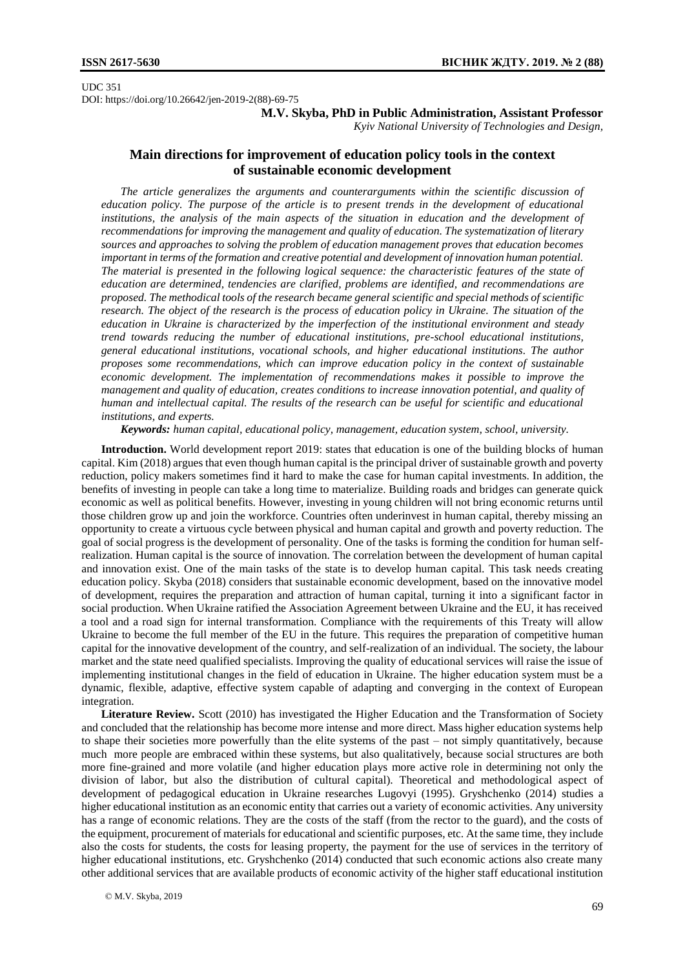UDC 351 DOI: https://doi.org/10.26642/jen-2019-2(88)-69-75

**M.V. Skyba, PhD in Public Administration, Assistant Professor**

*Kyiv National University of Technologies and Design,*

## **Main directions for improvement of education policy tools in the context of sustainable economic development**

*The article generalizes the arguments and counterarguments within the scientific discussion of education policy. The purpose of the article is to present trends in the development of educational*  institutions, the analysis of the main aspects of the situation in education and the development of *recommendations for improving the management and quality of education. The systematization of literary sources and approaches to solving the problem of education management proves that education becomes important in terms of the formation and creative potential and development of innovation human potential. The material is presented in the following logical sequence: the characteristic features of the state of education are determined, tendencies are clarified, problems are identified, and recommendations are proposed. The methodical tools of the research became general scientific and special methods of scientific research. The object of the research is the process of education policy in Ukraine. The situation of the education in Ukraine is characterized by the imperfection of the institutional environment and steady trend towards reducing the number of educational institutions, pre-school educational institutions, general educational institutions, vocational schools, and higher educational institutions. The author proposes some recommendations, which can improve education policy in the context of sustainable economic development. The implementation of recommendations makes it possible to improve the management and quality of education, creates conditions to increase innovation potential, and quality of human and intellectual capital. The results of the research can be useful for scientific and educational institutions, and experts.*

*Keywords: human capital, educational policy, management, education system, school, university.*

**Introduction.** World development report 2019: states that education is one of the building blocks of human capital. Kim (2018) argues that even though human capital is the principal driver of sustainable growth and poverty reduction, policy makers sometimes find it hard to make the case for human capital investments. In addition, the benefits of investing in people can take a long time to materialize. Building roads and bridges can generate quick economic as well as political benefits. However, investing in young children will not bring economic returns until those children grow up and join the workforce. Countries often underinvest in human capital, thereby missing an opportunity to create a virtuous cycle between physical and human capital and growth and poverty reduction. The goal of social progress is the development of personality. One of the tasks is forming the condition for human selfrealization. Human capital is the source of innovation. The correlation between the development of human capital and innovation exist. One of the main tasks of the state is to develop human capital. This task needs creating education policy. Skyba (2018) considers that sustainable economic development, based on the innovative model of development, requires the preparation and attraction of human capital, turning it into a significant factor in social production. When Ukraine ratified the Association Agreement between Ukraine and the EU, it has received a tool and a road sign for internal transformation. Compliance with the requirements of this Treaty will allow Ukraine to become the full member of the EU in the future. This requires the preparation of competitive human capital for the innovative development of the country, and self-realization of an individual. The society, the labour market and the state need qualified specialists. Improving the quality of educational services will raise the issue of implementing institutional changes in the field of education in Ukraine. The higher education system must be a dynamic, flexible, adaptive, effective system capable of adapting and converging in the context of European integration.

**Literature Review.** Scott (2010) has investigated the Higher Education and the Transformation of Society and concluded that the relationship has become more intense and more direct. Mass higher education systems help to shape their societies more powerfully than the elite systems of the past – not simply quantitatively, because much more people are embraced within these systems, but also qualitatively, because social structures are both more fine-grained and more volatile (and higher education plays more active role in determining not only the division of labor, but also the distribution of cultural capital). Theoretical and methodological aspect of development of pedagogical education in Ukraine researches Lugovyi (1995). Gryshchenko (2014) studies a higher educational institution as an economic entity that carries out a variety of economic activities. Any university has a range of economic relations. They are the costs of the staff (from the rector to the guard), and the costs of the equipment, procurement of materials for educational and scientific purposes, etc. At the same time, they include also the costs for students, the costs for leasing property, the payment for the use of services in the territory of higher educational institutions, etc. Gryshchenko (2014) conducted that such economic actions also create many other additional services that are available products of economic activity of the higher staff educational institution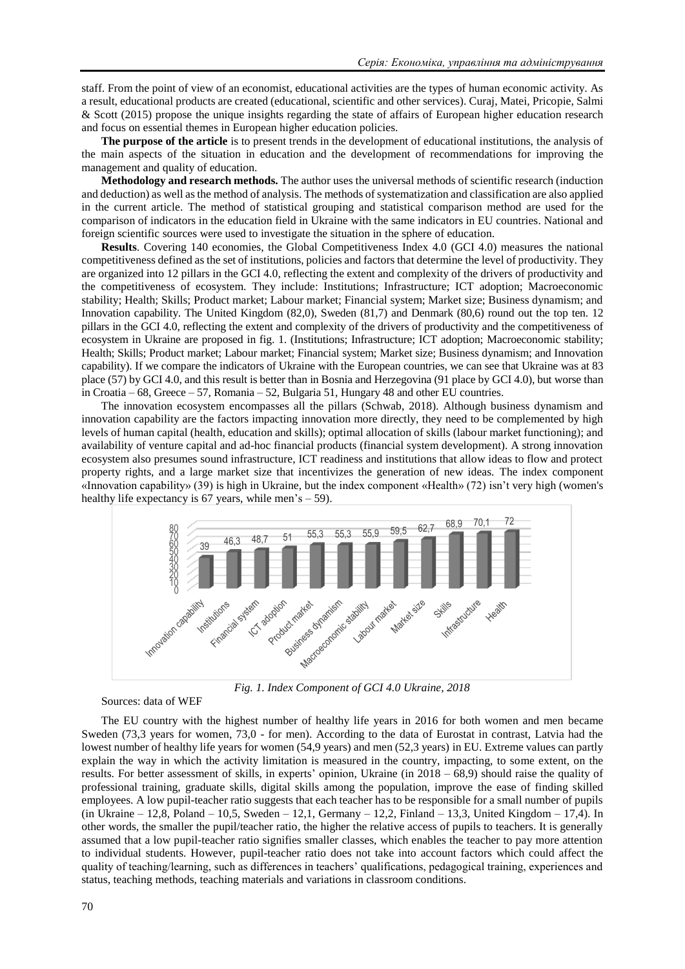staff. From the point of view of an economist, educational activities are the types of human economic activity. As a result, educational products are created (educational, scientific and other services). Curaj, Matei, Pricopie, Salmi & Scott (2015) propose the unique insights regarding the state of affairs of European higher education research and focus on essential themes in European higher education policies.

**The purpose of the article** is to present trends in the development of educational institutions, the analysis of the main aspects of the situation in education and the development of recommendations for improving the management and quality of education.

**Methodology and research methods.** The author uses the universal methods of scientific research (induction and deduction) as well as the method of analysis. The methods of systematization and classification are also applied in the current article. The method of statistical grouping and statistical comparison method are used for the comparison of indicators in the education field in Ukraine with the same indicators in EU countries. National and foreign scientific sources were used to investigate the situation in the sphere of education.

**Results**. Covering 140 economies, the Global Competitiveness Index 4.0 (GCI 4.0) measures the national competitiveness defined as the set of institutions, policies and factors that determine the level of productivity. They are organized into 12 pillars in the GCI 4.0, reflecting the extent and complexity of the drivers of productivity and the competitiveness of ecosystem. They include: Institutions; Infrastructure; ICT adoption; Macroeconomic stability; Health; Skills; Product market; Labour market; Financial system; Market size; Business dynamism; and Innovation capability. The United Kingdom (82,0), Sweden (81,7) and Denmark (80,6) round out the top ten. 12 pillars in the GCI 4.0, reflecting the extent and complexity of the drivers of productivity and the competitiveness of ecosystem in Ukraine are proposed in fig. 1. (Institutions; Infrastructure; ICT adoption; Macroeconomic stability; Health; Skills; Product market; Labour market; Financial system; Market size; Business dynamism; and Innovation capability). If we compare the indicators of Ukraine with the European countries, we can see that Ukraine was at 83 place (57) by GCI 4.0, and this result is better than in Bosnia and Herzegovina (91 place by GCI 4.0), but worse than in Croatia – 68, Greece – 57, Romania – 52, Bulgaria 51, Hungary 48 and other EU countries.

The innovation ecosystem encompasses all the pillars (Schwab, 2018). Although business dynamism and innovation capability are the factors impacting innovation more directly, they need to be complemented by high levels of human capital (health, education and skills); optimal allocation of skills (labour market functioning); and availability of venture capital and ad-hoc financial products (financial system development). A strong innovation ecosystem also presumes sound infrastructure, ICT readiness and institutions that allow ideas to flow and protect property rights, and a large market size that incentivizes the generation of new ideas. The index component «Innovation capability» (39) is high in Ukraine, but the index component «Health» (72) isn't very high (women's healthy life expectancy is 67 years, while men's – 59).



*Fig. 1. Index Component of GCI 4.0 Ukraine, 2018*

Sources: data of WEF

The EU country with the highest number of healthy life years in 2016 for both women and men became Sweden (73,3 years for women, 73,0 - for men). According to the data of Eurostat in contrast, Latvia had the lowest number of healthy life years for women (54,9 years) and men (52,3 years) in EU. Extreme values can partly explain the way in which the activity limitation is measured in the country, impacting, to some extent, on the results. For better assessment of skills, in experts' opinion, Ukraine (in 2018 – 68,9) should raise the quality of professional training, graduate skills, digital skills among the population, improve the ease of finding skilled employees. A low pupil-teacher ratio suggests that each teacher has to be responsible for a small number of pupils (in Ukraine – 12,8, Poland – 10,5, Sweden – 12,1, Germany – 12,2, Finland – 13,3, United Kingdom – 17,4). In other words, the smaller the pupil/teacher ratio, the higher the relative access of pupils to teachers. It is generally assumed that a low pupil-teacher ratio signifies smaller classes, which enables the teacher to pay more attention to individual students. However, pupil-teacher ratio does not take into account factors which could affect the quality of teaching/learning, such as differences in teachers' qualifications, pedagogical training, experiences and status, teaching methods, teaching materials and variations in classroom conditions.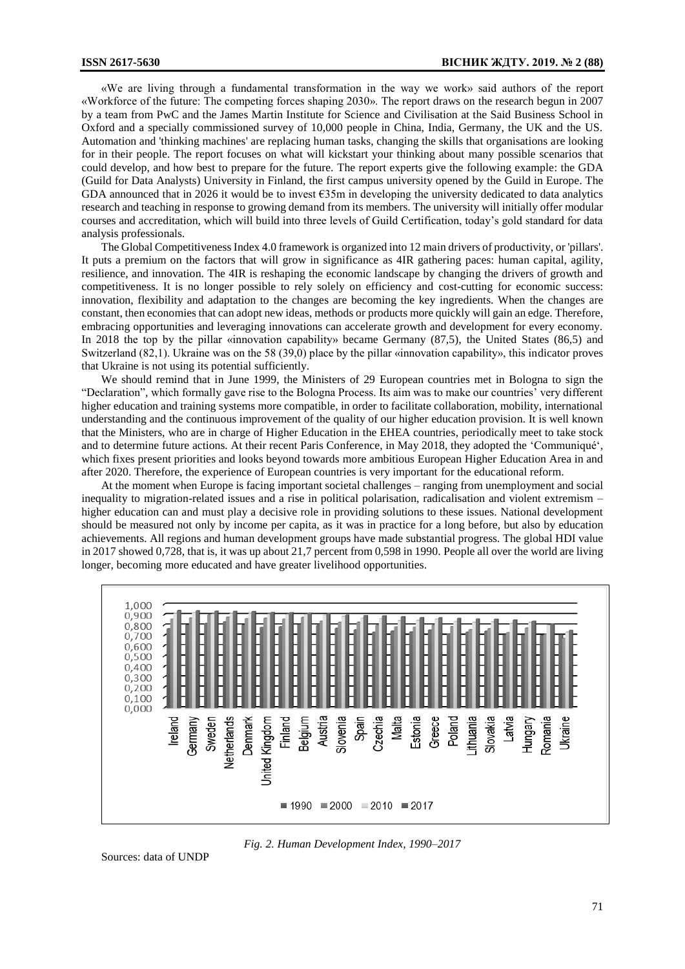«We are living through a fundamental transformation in the way we work» said authors of the report «Workforce of the future: The competing forces shaping 2030». The report draws on the research begun in 2007 by a team from PwC and the James Martin Institute for Science and Civilisation at the Said Business School in Oxford and a specially commissioned survey of 10,000 people in China, India, Germany, the UK and the US. Automation and 'thinking machines' are replacing human tasks, changing the skills that organisations are looking for in their people. The report focuses on what will kickstart your thinking about many possible scenarios that could develop, and how best to prepare for the future. The report experts give the following example: the GDA (Guild for Data Analysts) University in Finland, the first campus university opened by the Guild in Europe. The GDA announced that in 2026 it would be to invest  $\epsilon$ 35m in developing the university dedicated to data analytics research and teaching in response to growing demand from its members. The university will initially offer modular courses and accreditation, which will build into three levels of Guild Certification, today's gold standard for data analysis professionals.

The Global Competitiveness Index 4.0 framework is organized into 12 main drivers of productivity, or 'pillars'. It puts a premium on the factors that will grow in significance as 4IR gathering paces: human capital, agility, resilience, and innovation. The 4IR is reshaping the economic landscape by changing the drivers of growth and competitiveness. It is no longer possible to rely solely on efficiency and cost-cutting for economic success: innovation, flexibility and adaptation to the changes are becoming the key ingredients. When the changes are constant, then economies that can adopt new ideas, methods or products more quickly will gain an edge. Therefore, embracing opportunities and leveraging innovations can accelerate growth and development for every economy. In 2018 the top by the pillar «innovation capability» became Germany (87,5), the United States (86,5) and Switzerland (82,1). Ukraine was on the 58 (39,0) place by the pillar «innovation capability», this indicator proves that Ukraine is not using its potential sufficiently.

We should remind that in June 1999, the Ministers of 29 European countries met in Bologna to sign the "Declaration", which formally gave rise to the Bologna Process. Its aim was to make our countries' very different higher education and training systems more compatible, in order to facilitate collaboration, mobility, international understanding and the continuous improvement of the quality of our higher education provision. It is well known that the Ministers, who are in charge of Higher Education in the EHEA countries, periodically meet to take stock and to determine future actions. At their recent Paris Conference, in May 2018, they adopted the 'Communiqué', which fixes present priorities and looks beyond towards more ambitious European Higher Education Area in and after 2020. Therefore, the experience of European countries is very important for the educational reform.

At the moment when Europe is facing important societal challenges – ranging from unemployment and social inequality to migration-related issues and a rise in political polarisation, radicalisation and violent extremism – higher education can and must play a decisive role in providing solutions to these issues. National development should be measured not only by income per capita, as it was in practice for a long before, but also by education achievements. All regions and human development groups have made substantial progress. The global HDI value in 2017 showed 0,728, that is, it was up about 21,7 percent from 0,598 in 1990. People all over the world are living longer, becoming more educated and have greater livelihood opportunities.



*Fig. 2. Human Development Index, 1990–2017*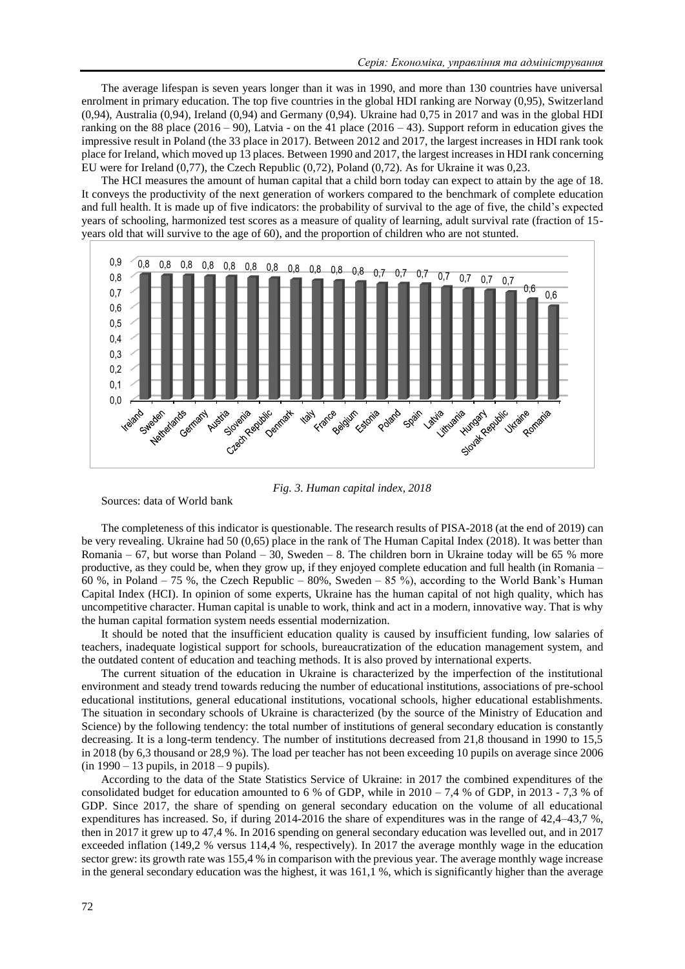The average lifespan is seven years longer than it was in 1990, and more than 130 countries have universal enrolment in primary education. The top five countries in the global HDI ranking are Norway (0,95), Switzerland (0,94), Australia (0,94), Ireland (0,94) and Germany (0,94). Ukraine had 0,75 in 2017 and was in the global HDI ranking on the 88 place  $(2016 - 90)$ , Latvia - on the 41 place  $(2016 - 43)$ . Support reform in education gives the impressive result in Poland (the 33 place in 2017). Between 2012 and 2017, the largest increases in HDI rank took place for Ireland, which moved up 13 places. Between 1990 and 2017, the largest increases in HDI rank concerning EU were for Ireland (0,77), the Czech Republic (0,72), Poland (0,72). As for Ukraine it was 0,23.

The HCI measures the amount of human capital that a child born today can expect to attain by the age of 18. It conveys the productivity of the next generation of workers compared to the benchmark of complete education and full health. It is made up of five indicators: the probability of survival to the age of five, the child's expected years of schooling, harmonized test scores as a measure of quality of learning, adult survival rate (fraction of 15 years old that will survive to the age of 60), and the proportion of children who are not stunted.



*Fig. 3. Human capital index, 2018*

Sources: data of World bank

The completeness of this indicator is questionable. The research results of PISA-2018 (at the end of 2019) can be very revealing. Ukraine had 50 (0,65) place in the rank of The Human Capital Index (2018). It was better than Romania – 67, but worse than Poland – 30, Sweden – 8. The children born in Ukraine today will be 65 % more productive, as they could be, when they grow up, if they enjoyed complete education and full health (in Romania – 60 %, in Poland – 75 %, the Czech Republic – 80%, Sweden – 85 %), according to the World Bank's Human Capital Index (HCI). In opinion of some experts, Ukraine has the human capital of not high quality, which has uncompetitive character. Human capital is unable to work, think and act in a modern, innovative way. That is why the human capital formation system needs essential modernization.

It should be noted that the insufficient education quality is caused by insufficient funding, low salaries of teachers, inadequate logistical support for schools, bureaucratization of the education management system, and the outdated content of education and teaching methods. It is also proved by international experts.

The current situation of the education in Ukraine is characterized by the imperfection of the institutional environment and steady trend towards reducing the number of educational institutions, associations of pre-school educational institutions, general educational institutions, vocational schools, higher educational establishments. The situation in secondary schools of Ukraine is characterized (by the source of the Ministry of Education and Science) by the following tendency: the total number of institutions of general secondary education is constantly decreasing. It is a long-term tendency. The number of institutions decreased from 21,8 thousand in 1990 to 15,5 in 2018 (by 6,3 thousand or 28,9 %). The load per teacher has not been exceeding 10 pupils on average since 2006 (in 1990 – 13 pupils, in 2018 – 9 pupils).

According to the data of the State Statistics Service of Ukraine: in 2017 the combined expenditures of the consolidated budget for education amounted to 6 % of GDP, while in  $2010 - 7.4$  % of GDP, in 2013 - 7.3 % of GDP. Since 2017, the share of spending on general secondary education on the volume of all educational expenditures has increased. So, if during 2014-2016 the share of expenditures was in the range of 42,4–43,7 %, then in 2017 it grew up to 47,4 %. In 2016 spending on general secondary education was levelled out, and in 2017 exceeded inflation (149,2 % versus 114,4 %, respectively). In 2017 the average monthly wage in the education sector grew: its growth rate was 155,4 % in comparison with the previous year. The average monthly wage increase in the general secondary education was the highest, it was 161,1 %, which is significantly higher than the average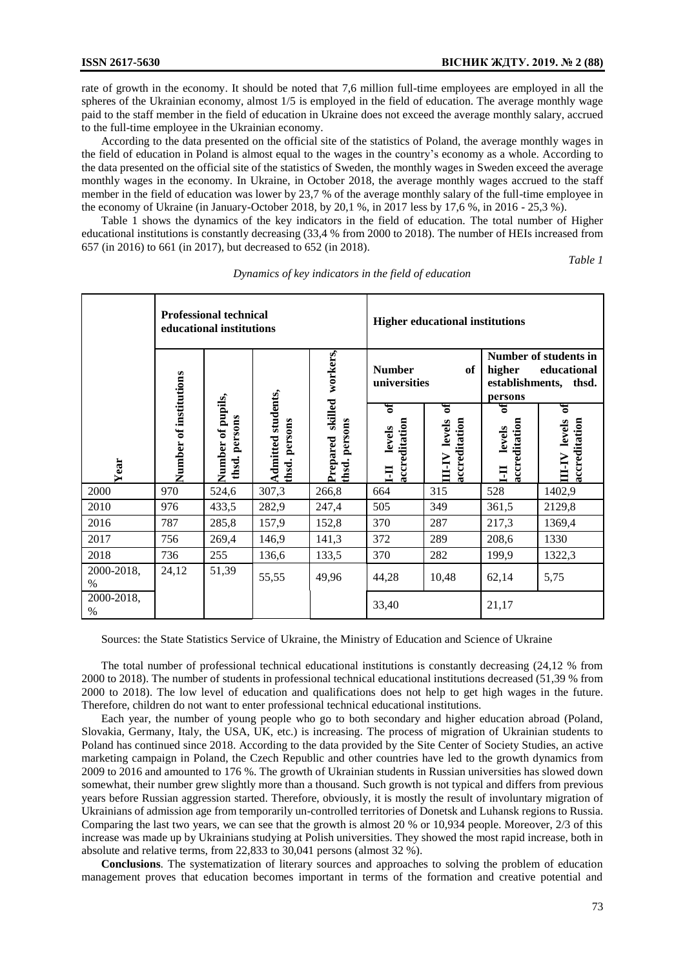rate of growth in the economy. It should be noted that 7,6 million full-time employees are employed in all the spheres of the Ukrainian economy, almost 1/5 is employed in the field of education. The average monthly wage paid to the staff member in the field of education in Ukraine does not exceed the average monthly salary, accrued to the full-time employee in the Ukrainian economy.

According to the data presented on the official site of the statistics of Poland, the average monthly wages in the field of education in Poland is almost equal to the wages in the country's economy as a whole. According to the data presented on the official site of the statistics of Sweden, the monthly wages in Sweden exceed the average monthly wages in the economy. In Ukraine, in October 2018, the average monthly wages accrued to the staff member in the field of education was lower by 23,7 % of the average monthly salary of the full-time employee in the economy of Ukraine (in January-October 2018, by 20,1 %, in 2017 less by 17,6 %, in 2016 - 25,3 %).

Table 1 shows the dynamics of the key indicators in the field of education. The total number of Higher educational institutions is constantly decreasing (33,4 % from 2000 to 2018). The number of HEIs increased from 657 (in 2016) to 661 (in 2017), but decreased to 652 (in 2018).

*Table 1*

|                    | <b>Professional technical</b><br>educational institutions |                                    |                                     |                                         | <b>Higher educational institutions</b> |                                               |                                                                                       |                                              |
|--------------------|-----------------------------------------------------------|------------------------------------|-------------------------------------|-----------------------------------------|----------------------------------------|-----------------------------------------------|---------------------------------------------------------------------------------------|----------------------------------------------|
|                    |                                                           |                                    |                                     | workers,                                | <b>Number</b><br>universities          | of                                            | Number of students in<br>higher<br>educational<br>establishments,<br>thsd.<br>persons |                                              |
| Year               | Number of institutions                                    | Number of pupils,<br>thsd. persons | Admitted students,<br>thsd. persons | skilled<br>persons<br>Prepared<br>thsd. | ัธ<br>accreditation<br>levels<br>Ξ     | ទ<br>accreditation<br>levels<br><b>AI-III</b> | र्ज<br>accreditation<br>levels<br>EI                                                  | ទ<br>levels<br>accreditation<br><b>NFIII</b> |
| 2000               | 970                                                       | 524,6                              | 307,3                               | 266,8                                   | 664                                    | 315                                           | 528                                                                                   | 1402,9                                       |
| 2010               | 976                                                       | 433,5                              | 282,9                               | 247,4                                   | 505                                    | 349                                           | 361,5                                                                                 | 2129,8                                       |
| 2016               | 787                                                       | 285,8                              | 157,9                               | 152,8                                   | 370                                    | 287                                           | 217,3                                                                                 | 1369,4                                       |
| 2017               | 756                                                       | 269,4                              | 146,9                               | 141,3                                   | 372                                    | 289                                           | 208,6                                                                                 | 1330                                         |
| 2018               | 736                                                       | 255                                | 136,6                               | 133,5                                   | 370                                    | 282                                           | 199,9                                                                                 | 1322,3                                       |
| 2000-2018,<br>$\%$ | 24,12                                                     | 51,39                              | 55,55                               | 49,96                                   | 44,28                                  | 10,48                                         | 62,14                                                                                 | 5,75                                         |
| 2000-2018,<br>$\%$ |                                                           |                                    |                                     |                                         | 33,40                                  |                                               | 21,17                                                                                 |                                              |

*Dynamics of key indicators in the field of education*

Sources: the State Statistics Service of Ukraine, the Ministry of Education and Science of Ukraine

The total number of professional technical educational institutions is constantly decreasing (24,12 % from 2000 to 2018). The number of students in professional technical educational institutions decreased (51,39 % from 2000 to 2018). The low level of education and qualifications does not help to get high wages in the future. Therefore, children do not want to enter professional technical educational institutions.

Each year, the number of young people who go to both secondary and higher education abroad (Poland, Slovakia, Germany, Italy, the USA, UK, etc.) is increasing. The process of migration of Ukrainian students to Poland has continued since 2018. According to the data provided by the Site Center of Society Studies, an active marketing campaign in Poland, the Czech Republic and other countries have led to the growth dynamics from 2009 to 2016 and amounted to 176 %. The growth of Ukrainian students in Russian universities has slowed down somewhat, their number grew slightly more than a thousand. Such growth is not typical and differs from previous years before Russian aggression started. Therefore, obviously, it is mostly the result of involuntary migration of Ukrainians of admission age from temporarily un-controlled territories of Donetsk and Luhansk regions to Russia. Comparing the last two years, we can see that the growth is almost 20 % or 10,934 people. Moreover, 2/3 of this increase was made up by Ukrainians studying at Polish universities. They showed the most rapid increase, both in absolute and relative terms, from 22,833 to 30,041 persons (almost 32 %).

**Conclusions**. The systematization of literary sources and approaches to solving the problem of education management proves that education becomes important in terms of the formation and creative potential and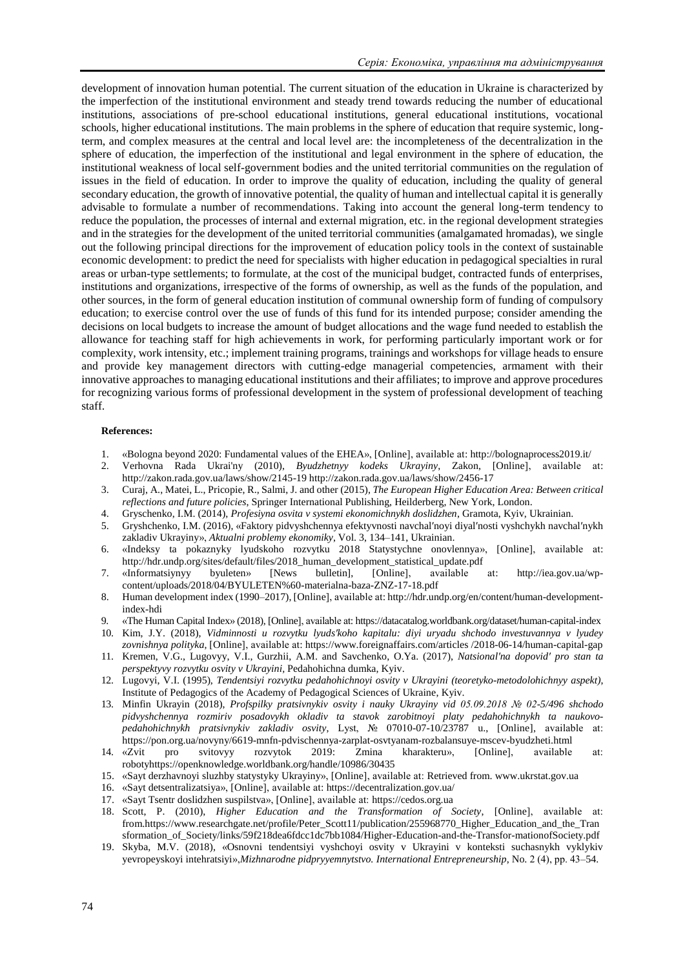development of innovation human potential. The current situation of the education in Ukraine is characterized by the imperfection of the institutional environment and steady trend towards reducing the number of educational institutions, associations of pre-school educational institutions, general educational institutions, vocational schools, higher educational institutions. The main problems in the sphere of education that require systemic, longterm, and complex measures at the central and local level are: the incompleteness of the decentralization in the sphere of education, the imperfection of the institutional and legal environment in the sphere of education, the institutional weakness of local self-government bodies and the united territorial communities on the regulation of issues in the field of education. In order to improve the quality of education, including the quality of general secondary education, the growth of innovative potential, the quality of human and intellectual capital it is generally advisable to formulate a number of recommendations. Taking into account the general long-term tendency to reduce the population, the processes of internal and external migration, etc. in the regional development strategies and in the strategies for the development of the united territorial communities (amalgamated hromadas), we single out the following principal directions for the improvement of education policy tools in the context of sustainable economic development: to predict the need for specialists with higher education in pedagogical specialties in rural areas or urban-type settlements; to formulate, at the cost of the municipal budget, contracted funds of enterprises, institutions and organizations, irrespective of the forms of ownership, as well as the funds of the population, and other sources, in the form of general education institution of communal ownership form of funding of compulsory education; to exercise control over the use of funds of this fund for its intended purpose; consider amending the decisions on local budgets to increase the amount of budget allocations and the wage fund needed to establish the allowance for teaching staff for high achievements in work, for performing particularly important work or for complexity, work intensity, etc.; implement training programs, trainings and workshops for village heads to ensure and provide key management directors with cutting-edge managerial competencies, armament with their innovative approaches to managing educational institutions and their affiliates; to improve and approve procedures for recognizing various forms of professional development in the system of professional development of teaching staff.

## **References:**

- 1. «Bologna beyond 2020: Fundamental values of the EHEA», [Online], аvailable at: http://bolognaprocess2019.it/
- 2. Verhovna Rada Ukrai'ny (2010), *Byudzhetnyy kodeks Ukrayiny*, Zakon, [Online], аvailable at: <http://zakon.rada.gov.ua/laws/show/2145-19> <http://zakon.rada.gov.ua/laws/show/2456-17>
- 3. [Curaj, A.](https://translate.googleusercontent.com/translate_c?anno=2&depth=1&hl=ru&rurl=translate.google.com&sl=en&sp=nmt4&tl=ru&u=http://publications.ceu.edu/biblio/author/8223&xid=17259,15700021,15700186,15700191,15700253,15700256,15700259&usg=ALkJrhgU_qjMplTXzZeBfzWaqIrng38T3g)[, Matei, L.](https://translate.googleusercontent.com/translate_c?anno=2&depth=1&hl=ru&rurl=translate.google.com&sl=en&sp=nmt4&tl=ru&u=http://publications.ceu.edu/biblio/author/3087&xid=17259,15700021,15700186,15700191,15700253,15700256,15700259&usg=ALkJrhidt55ltz2CBOIjL19OJLkMUcTZow)[, Pricopie, R.](https://translate.googleusercontent.com/translate_c?anno=2&depth=1&hl=ru&rurl=translate.google.com&sl=en&sp=nmt4&tl=ru&u=http://publications.ceu.edu/biblio/author/8379&xid=17259,15700021,15700186,15700191,15700253,15700256,15700259&usg=ALkJrhgVkkdYDSF2pVfSBiz03azD0Ge8nQ)[, Salmi, J.](https://translate.googleusercontent.com/translate_c?anno=2&depth=1&hl=ru&rurl=translate.google.com&sl=en&sp=nmt4&tl=ru&u=http://publications.ceu.edu/biblio/author/8365&xid=17259,15700021,15700186,15700191,15700253,15700256,15700259&usg=ALkJrhiXENM1rzWSyLIZ92XtwWbpOAq3ZQ) and other (2015), *The European Higher Education Area: Between critical reflections and future policies*, Springer International Publishing, Heilderberg, New York, London.
- 4. Gryschenko, I.M. (2014), *Profesiyna osvita v systemi ekonomichnykh doslidzhen*, Gramota, Kyiv, Ukrainian.
- 5. Gryshchenko, I.M. (2016), «Faktory pidvyshchennya efektyvnosti navchalʹnoyi diyalʹnosti vyshchykh navchalʹnykh zakladiv Ukrayiny», *Aktualni problemy ekonomiky*, Vol. 3, 134–141, Ukrainian.
- 6. «Indeksy ta pokaznyky lyudskoho rozvytku 2018 Statystychne onovlennya», [Online], аvailable at: [http://hdr.undp.org/sites/default/files/2018\\_human\\_development\\_statistical\\_update.pdf](http://hdr.undp.org/sites/default/files/2018_human_development_statistical_update.pdf)
- 7. «Informatsiynyy byuleten» [News bulletin], [Online], аvailable at: [http://iea.gov.ua/wp](http://iea.gov.ua/wp-content/uploads/2018/04/BYULETEN%60-materialna-baza-ZNZ-17-18.pdf)[content/uploads/2018/04/BYULETEN%60-materialna-baza-ZNZ-17-18.pdf](http://iea.gov.ua/wp-content/uploads/2018/04/BYULETEN%60-materialna-baza-ZNZ-17-18.pdf)
- 8. Human development index (1990–2017), [Online], аvailable at[: http://hdr.undp.org/en/content/human-development](http://hdr.undp.org/en/content/human-development-index-hdi)[index-hdi](http://hdr.undp.org/en/content/human-development-index-hdi)
- 9. «The Human Capital Index» (2018), [Online], аvailable at[: https://datacatalog.worldbank.org/dataset/human-capital-index](https://datacatalog.worldbank.org/dataset/human-capital-index)
- 10. Kim, J.Y. (2018), *Vidminnosti u rozvytku lyudsʹkoho kapitalu: diyi uryadu shchodo investuvannya v lyudey zovnishnya polityka*, [Online], аvailable at: https://www.foreignaffairs.com/articles /2018-06-14/human-capital-gap
- 11. Kremen, V.G., Lugovyy, V.I., Gurzhii, A.M. and Savchenko, O.Ya. (2017), *Natsionalʹna dopovidʹ pro stan ta perspektyvy rozvytku osvity v Ukrayini,* Pedahohichna dumka, Kyiv.
- 12. Lugovyi, V.I. (1995), *Tendentsiyi rozvytku pedahohichnoyi osvity v Ukrayini (teoretyko-metodolohichnyy aspekt)*, Institute of Pedagogics of the Academy of Pedagogical Sciences of Ukraine, Kyiv.
- 13. Minfin Ukrayin (2018), *Profspilky pratsivnykiv osvity i nauky Ukrayiny vid 05.09.2018 № 02-5/496 shchodo pidvyshchennya rozmiriv posadovykh okladiv ta stavok zarobitnoyi platy pedahohichnykh ta naukovopedahohichnykh pratsivnykiv zakladiv osvity*, Lyst, № 07010-07-10/23787 u., [Online], аvailable at: <https://pon.org.ua/novyny/6619-mnfn-pdvischennya-zarplat-osvtyanam-rozbalansuye-mscev-byudzheti.html>
- 14. «Zvit pro svitovyy rozvytok 2019: Zmina kharakteru», [Online], аvailable at: robotyhttps://openknowledge.worldbank.org/handle/10986/30435
- 15. «Sayt derzhavnoyi sluzhby statystyky Ukrayiny», [Online], аvailable at: Retrieved from. www.ukrstat.gov.ua
- 16. «Sayt detsentralizatsiya», [Online], аvailable at[: https://decentralization.gov.ua/](https://decentralization.gov.ua/)
- 17. «Sayt Tsentr doslidzhen suspilstva», [Online], аvailable at: https://cedos.org.ua
- 18. Scott, P. (2010), *Higher Education and the Transformation of Society*, [Online], аvailable at: from.https://www.researchgate.net/profile/Peter\_Scott11/publication/255968770\_Higher\_Education\_and\_the\_Tran sformation\_of\_Society/links/59f218dea6fdcc1dc7bb1084/Higher-Education-and-the-Transfor-mationofSociety.pdf
- 19. Skyba, M.V. (2018), «Osnovni tendentsiyi vyshchoyi osvity v Ukrayini v konteksti suchasnykh vyklykiv yevropeyskoyi intehratsiyi»,*Mizhnarodne pidpryyemnytstvo. International Entrepreneurship*, No. 2 (4), рр. 43–54.